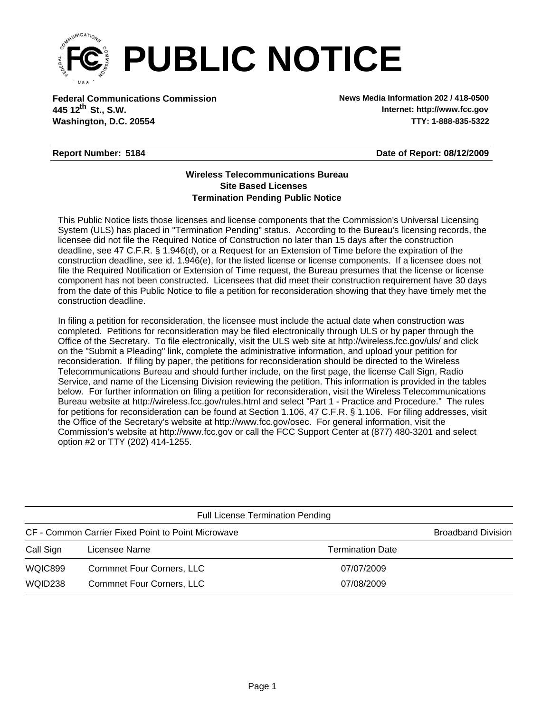

**Federal Communications Commission News Media Information 202 / 418-0500 Washington, D.C. 20554 TTY: 1-888-835-5322 445 12<sup>th</sup> St., S.W.** 

**Internet: http://www.fcc.gov**

## **Report Number: 5184**

**Date of Report: 08/12/2009**

## **Wireless Telecommunications Bureau Site Based Licenses Termination Pending Public Notice**

This Public Notice lists those licenses and license components that the Commission's Universal Licensing System (ULS) has placed in "Termination Pending" status. According to the Bureau's licensing records, the licensee did not file the Required Notice of Construction no later than 15 days after the construction deadline, see 47 C.F.R. § 1.946(d), or a Request for an Extension of Time before the expiration of the construction deadline, see id. 1.946(e), for the listed license or license components. If a licensee does not file the Required Notification or Extension of Time request, the Bureau presumes that the license or license component has not been constructed. Licensees that did meet their construction requirement have 30 days from the date of this Public Notice to file a petition for reconsideration showing that they have timely met the construction deadline.

In filing a petition for reconsideration, the licensee must include the actual date when construction was completed. Petitions for reconsideration may be filed electronically through ULS or by paper through the Office of the Secretary. To file electronically, visit the ULS web site at http://wireless.fcc.gov/uls/ and click on the "Submit a Pleading" link, complete the administrative information, and upload your petition for reconsideration. If filing by paper, the petitions for reconsideration should be directed to the Wireless Telecommunications Bureau and should further include, on the first page, the license Call Sign, Radio Service, and name of the Licensing Division reviewing the petition. This information is provided in the tables below. For further information on filing a petition for reconsideration, visit the Wireless Telecommunications Bureau website at http://wireless.fcc.gov/rules.html and select "Part 1 - Practice and Procedure." The rules for petitions for reconsideration can be found at Section 1.106, 47 C.F.R. § 1.106. For filing addresses, visit the Office of the Secretary's website at http://www.fcc.gov/osec. For general information, visit the Commission's website at http://www.fcc.gov or call the FCC Support Center at (877) 480-3201 and select option #2 or TTY (202) 414-1255.

| <b>Full License Termination Pending</b>            |                                  |                         |  |  |  |  |
|----------------------------------------------------|----------------------------------|-------------------------|--|--|--|--|
| CF - Common Carrier Fixed Point to Point Microwave | <b>Broadband Division</b>        |                         |  |  |  |  |
| Call Sign                                          | Licensee Name                    | <b>Termination Date</b> |  |  |  |  |
| WQIC899                                            | <b>Commnet Four Corners, LLC</b> | 07/07/2009              |  |  |  |  |
| WQID238                                            | <b>Commnet Four Corners, LLC</b> | 07/08/2009              |  |  |  |  |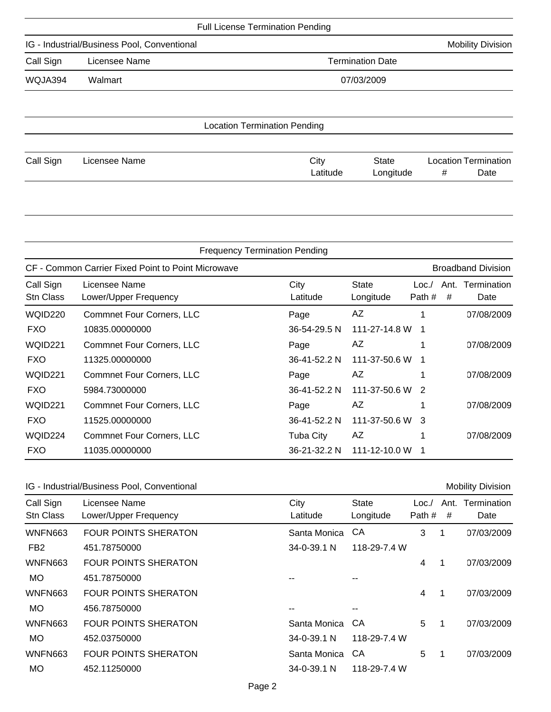| <b>Full License Termination Pending</b>     |                          |                                     |  |  |  |
|---------------------------------------------|--------------------------|-------------------------------------|--|--|--|
| IG - Industrial/Business Pool, Conventional | <b>Mobility Division</b> |                                     |  |  |  |
| Call Sign                                   | <b>Termination Date</b>  |                                     |  |  |  |
| WQJA394                                     | Walmart                  | 07/03/2009                          |  |  |  |
|                                             |                          |                                     |  |  |  |
|                                             |                          | <b>Location Termination Pending</b> |  |  |  |

| Call Sign | Licensee Name | City     | <b>State</b> | <b>Location Termination</b> |      |
|-----------|---------------|----------|--------------|-----------------------------|------|
|           |               | ∟atitude | ∟ongitude    | Ħ                           | Date |

|                                                    | <b>Frequency Termination Pending</b>   |                  |                           |                |   |                           |  |  |
|----------------------------------------------------|----------------------------------------|------------------|---------------------------|----------------|---|---------------------------|--|--|
| CF - Common Carrier Fixed Point to Point Microwave |                                        |                  |                           |                |   | <b>Broadband Division</b> |  |  |
| Call Sign<br>Stn Class                             | Licensee Name<br>Lower/Upper Frequency | City<br>Latitude | <b>State</b><br>Longitude | Loc.<br>Path # | # | Ant. Termination<br>Date  |  |  |
| WQID220                                            | <b>Commnet Four Corners, LLC</b>       | Page             | AZ                        |                |   | 07/08/2009                |  |  |
| <b>FXO</b>                                         | 10835.00000000                         | 36-54-29.5 N     | 111-27-14.8 W             | - 1            |   |                           |  |  |
| WQID221                                            | <b>Commnet Four Corners, LLC</b>       | Page             | AZ                        |                |   | 07/08/2009                |  |  |
| <b>FXO</b>                                         | 11325.00000000                         | 36-41-52.2 N     | 111-37-50.6 W             |                |   |                           |  |  |
| WQID221                                            | <b>Commnet Four Corners, LLC</b>       | Page             | AZ                        |                |   | 07/08/2009                |  |  |
| <b>FXO</b>                                         | 5984.73000000                          | 36-41-52.2 N     | 111-37-50.6 W 2           |                |   |                           |  |  |
| WQID221                                            | <b>Commnet Four Corners, LLC</b>       | Page             | AZ                        |                |   | 07/08/2009                |  |  |
| <b>FXO</b>                                         | 11525.00000000                         | 36-41-52.2 N     | 111-37-50.6 W 3           |                |   |                           |  |  |
| WQID224                                            | <b>Commnet Four Corners, LLC</b>       | <b>Tuba City</b> | AZ                        |                |   | 07/08/2009                |  |  |
| <b>FXO</b>                                         | 11035.00000000                         | 36-21-32.2 N     | 111-12-10.0 W             |                |   |                           |  |  |

| IG - Industrial/Business Pool, Conventional |  |  |
|---------------------------------------------|--|--|
|---------------------------------------------|--|--|

| IG - Industrial/Business Pool, Conventional |                                        |                  |                           |                |              | <b>Mobility Division</b> |
|---------------------------------------------|----------------------------------------|------------------|---------------------------|----------------|--------------|--------------------------|
| Call Sign<br>Stn Class                      | Licensee Name<br>Lower/Upper Frequency | City<br>Latitude | <b>State</b><br>Longitude | Loc.<br>Path # | Ant.<br>#    | Termination<br>Date      |
| <b>WNFN663</b>                              | <b>FOUR POINTS SHERATON</b>            | Santa Monica     | CА                        | 3              | 1            | 07/03/2009               |
| FB <sub>2</sub>                             | 451.78750000                           | 34-0-39.1 N      | 118-29-7.4 W              |                |              |                          |
| <b>WNFN663</b>                              | <b>FOUR POINTS SHERATON</b>            |                  |                           | 4              | -1           | 07/03/2009               |
| MO.                                         | 451.78750000                           |                  |                           |                |              |                          |
| <b>WNFN663</b>                              | <b>FOUR POINTS SHERATON</b>            |                  |                           | 4              | 1            | 07/03/2009               |
| MO.                                         | 456.78750000                           |                  | --                        |                |              |                          |
| WNFN663                                     | <b>FOUR POINTS SHERATON</b>            | Santa Monica     | CA                        | 5              | $\mathbf{1}$ | 07/03/2009               |
| MO.                                         | 452.03750000                           | 34-0-39.1 N      | 118-29-7.4 W              |                |              |                          |
| <b>WNFN663</b>                              | <b>FOUR POINTS SHERATON</b>            | Santa Monica     | СA                        | 5              | -1           | 07/03/2009               |
| MO.                                         | 452.11250000                           | 34-0-39.1 N      | 118-29-7.4 W              |                |              |                          |